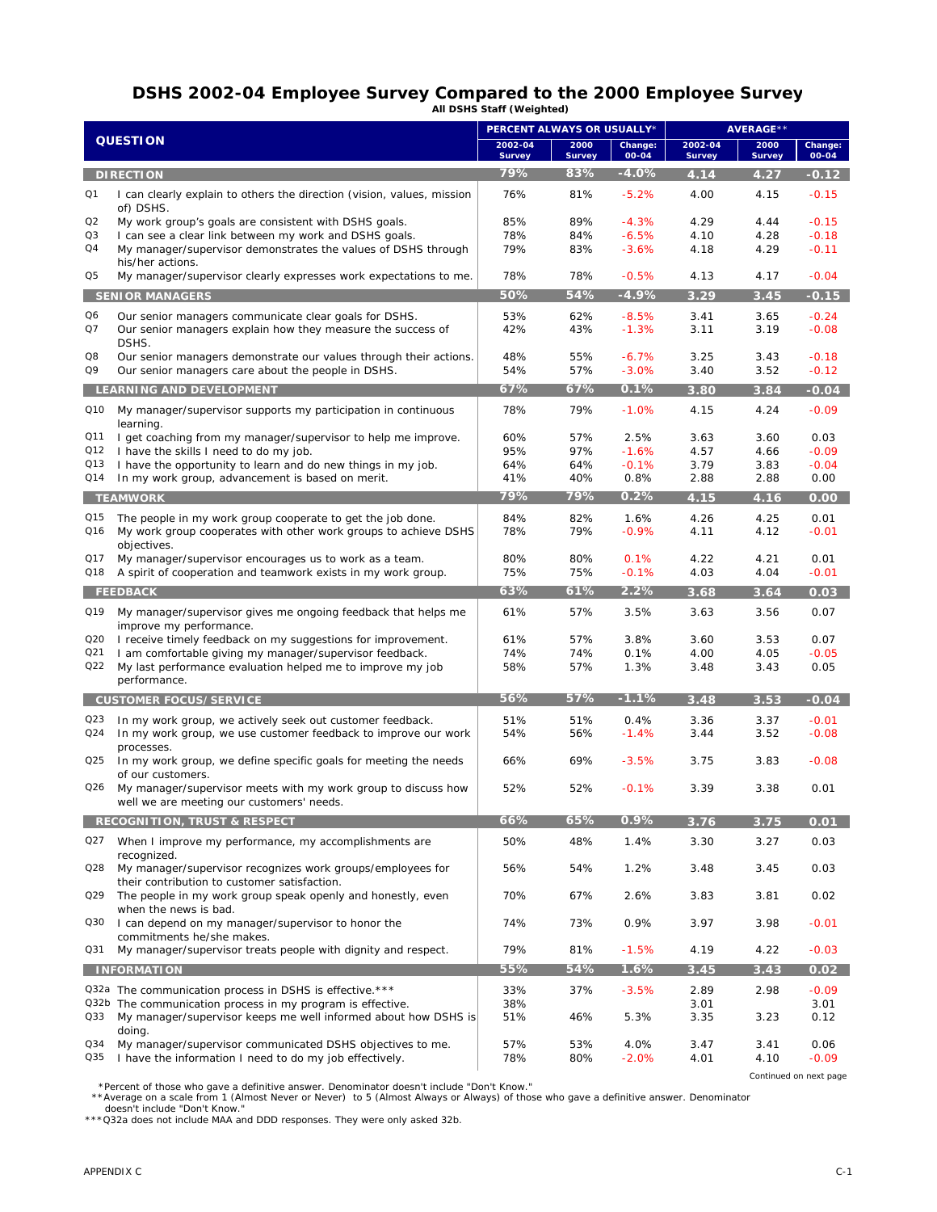## **DSHS 2002-04 Employee Survey Compared to the 2000 Employee Survey All DSHS Staff (Weighted)**

| <b>QUESTION</b>               |                                                                                                                      | PERCENT ALWAYS OR USUALLY* |                       |                  | <b>AVERAGE**</b>         |                       |                  |
|-------------------------------|----------------------------------------------------------------------------------------------------------------------|----------------------------|-----------------------|------------------|--------------------------|-----------------------|------------------|
|                               |                                                                                                                      | 2002-04<br><b>Survey</b>   | 2000<br><b>Survey</b> | Change:<br>00-04 | 2002-04<br><b>Survey</b> | 2000<br><b>Survey</b> | Change:<br>00-04 |
|                               | <b>DIRECTION</b>                                                                                                     | 79%                        | 83%                   | $-4.0%$          | 4.14                     | 4.27                  | $-0.12$          |
| Q1                            | I can clearly explain to others the direction (vision, values, mission<br>of) DSHS.                                  | 76%                        | 81%                   | $-5.2%$          | 4.00                     | 4.15                  | $-0.15$          |
| Q2                            | My work group's goals are consistent with DSHS goals.                                                                | 85%                        | 89%                   | $-4.3%$          | 4.29                     | 4.44                  | $-0.15$          |
| Q3                            | I can see a clear link between my work and DSHS goals.                                                               | 78%                        | 84%                   | $-6.5%$          | 4.10                     | 4.28                  | $-0.18$          |
| Q4                            | My manager/supervisor demonstrates the values of DSHS through                                                        | 79%                        | 83%                   | $-3.6%$          | 4.18                     | 4.29                  | $-0.11$          |
| Q5                            | his/her actions.<br>My manager/supervisor clearly expresses work expectations to me.                                 | 78%                        | 78%                   | $-0.5%$          | 4.13                     | 4.17                  | $-0.04$          |
|                               | <b>SENIOR MANAGERS</b>                                                                                               | 50%                        | 54%                   | $-4.9%$          | 3.29                     | 3.45                  | $-0.15$          |
| Q6                            | Our senior managers communicate clear goals for DSHS.                                                                | 53%                        | 62%                   | $-8.5%$          | 3.41                     | 3.65                  | $-0.24$          |
| Q7                            | Our senior managers explain how they measure the success of<br>DSHS.                                                 | 42%                        | 43%                   | $-1.3%$          | 3.11                     | 3.19                  | $-0.08$          |
| Q8                            | Our senior managers demonstrate our values through their actions.                                                    | 48%                        | 55%                   | $-6.7%$          | 3.25                     | 3.43                  | $-0.18$          |
| Q9                            | Our senior managers care about the people in DSHS.                                                                   | 54%                        | 57%                   | $-3.0%$          | 3.40                     | 3.52                  | $-0.12$          |
| LEARNING AND DEVELOPMENT      |                                                                                                                      | 67%                        | 67%                   | 0.1%             | 3.80                     | 3.84                  | $-0.04$          |
| Q10                           | My manager/supervisor supports my participation in continuous<br>learning.                                           | 78%                        | 79%                   | $-1.0%$          | 4.15                     | 4.24                  | $-0.09$          |
| Q11                           | I get coaching from my manager/supervisor to help me improve.                                                        | 60%                        | 57%                   | 2.5%             | 3.63                     | 3.60                  | 0.03             |
| Q12                           | I have the skills I need to do my job.                                                                               | 95%                        | 97%                   | $-1.6%$          | 4.57                     | 4.66                  | $-0.09$          |
| Q13                           | I have the opportunity to learn and do new things in my job.                                                         | 64%                        | 64%                   | $-0.1%$          | 3.79                     | 3.83                  | $-0.04$          |
| Q14                           | In my work group, advancement is based on merit.                                                                     | 41%                        | 40%                   | 0.8%             | 2.88                     | 2.88                  | 0.00             |
|                               | <b>TEAMWORK</b>                                                                                                      | 79%                        | 79%                   | 0.2%             | 4.15                     | 4.16                  | 0.00             |
| Q15                           | The people in my work group cooperate to get the job done.                                                           | 84%                        | 82%                   | 1.6%             | 4.26                     | 4.25                  | 0.01             |
| Q16                           | My work group cooperates with other work groups to achieve DSHS<br>objectives.                                       | 78%                        | 79%                   | $-0.9%$          | 4.11                     | 4.12                  | $-0.01$          |
| Q17                           | My manager/supervisor encourages us to work as a team.                                                               | 80%                        | 80%                   | 0.1%             | 4.22                     | 4.21                  | 0.01             |
| Q18                           | A spirit of cooperation and teamwork exists in my work group.                                                        | 75%                        | 75%                   | $-0.1%$          | 4.03                     | 4.04                  | $-0.01$          |
|                               | <b>FEEDBACK</b>                                                                                                      | 63%                        | 61%                   | 2.2%             | 3.68                     | 3.64                  | 0.03             |
| Q19                           | My manager/supervisor gives me ongoing feedback that helps me<br>improve my performance.                             | 61%                        | 57%                   | 3.5%             | 3.63                     | 3.56                  | 0.07             |
| Q20                           | I receive timely feedback on my suggestions for improvement.                                                         | 61%                        | 57%                   | 3.8%             | 3.60                     | 3.53                  | 0.07             |
| Q21                           | I am comfortable giving my manager/supervisor feedback.                                                              | 74%                        | 74%                   | 0.1%             | 4.00                     | 4.05                  | $-0.05$          |
| Q22                           | My last performance evaluation helped me to improve my job                                                           | 58%                        | 57%                   | 1.3%             | 3.48                     | 3.43                  | 0.05             |
|                               | performance.                                                                                                         |                            |                       |                  |                          |                       |                  |
| <b>CUSTOMER FOCUS/SERVICE</b> |                                                                                                                      | 56%                        | 57%                   | $-1.1%$          | 3.48                     | 3.53                  | $-0.04$          |
| Q23                           | In my work group, we actively seek out customer feedback.                                                            | 51%                        | 51%                   | 0.4%             | 3.36                     | 3.37                  | $-0.01$          |
| Q24                           | In my work group, we use customer feedback to improve our work<br>processes.                                         | 54%                        | 56%                   | $-1.4%$          | 3.44                     | 3.52                  | $-0.08$          |
| Q25                           | In my work group, we define specific goals for meeting the needs<br>of our customers.                                | 66%                        | 69%                   | $-3.5%$          | 3.75                     | 3.83                  | $-0.08$          |
| Q26                           | My manager/supervisor meets with my work group to discuss how<br>well we are meeting our customers' needs.           | 52%                        | 52%                   | $-0.1%$          | 3.39                     | 3.38                  | 0.01             |
|                               | <b>RECOGNITION, TRUST &amp; RESPECT</b>                                                                              | 66%                        | 65%                   | 0.9%             | 3.76                     | 3.75                  | 0.01             |
| Q27                           | When I improve my performance, my accomplishments are                                                                | 50%                        | 48%                   | 1.4%             | 3.30                     | 3.27                  | 0.03             |
| Q28                           | recognized.<br>My manager/supervisor recognizes work groups/employees for                                            | 56%                        | 54%                   | 1.2%             | 3.48                     | 3.45                  | 0.03             |
| Q29                           | their contribution to customer satisfaction.<br>The people in my work group speak openly and honestly, even          | 70%                        | 67%                   | 2.6%             | 3.83                     | 3.81                  | 0.02             |
| Q30                           | when the news is bad.<br>I can depend on my manager/supervisor to honor the                                          | 74%                        | 73%                   | 0.9%             | 3.97                     | 3.98                  | $-0.01$          |
| Q31                           | commitments he/she makes.<br>My manager/supervisor treats people with dignity and respect.                           | 79%                        | 81%                   | $-1.5%$          | 4.19                     | 4.22                  | $-0.03$          |
| <b>INFORMATION</b>            |                                                                                                                      | 55%                        | 54%                   | 1.6%             | 3.45                     | 3.43                  | 0.02             |
|                               | Q32a The communication process in DSHS is effective.***                                                              | 33%                        | 37%                   | $-3.5%$          | 2.89                     | 2.98                  | $-0.09$          |
|                               | Q32b The communication process in my program is effective.                                                           | 38%                        |                       |                  | 3.01                     |                       | 3.01             |
| Q33                           | My manager/supervisor keeps me well informed about how DSHS is                                                       | 51%                        | 46%                   | 5.3%             | 3.35                     | 3.23                  | 0.12             |
|                               | doing.                                                                                                               |                            |                       |                  |                          |                       |                  |
| Q34<br>Q35                    | My manager/supervisor communicated DSHS objectives to me.<br>I have the information I need to do my job effectively. | 57%<br>78%                 | 53%<br>80%            | 4.0%<br>$-2.0%$  | 3.47<br>4.01             | 3.41<br>4.10          | 0.06<br>$-0.09$  |

\*Percent of those who gave a definitive answer. Denominator doesn't include "Don't Know."<br>\*\*Average on a scale from 1 (Almost Never or Never) to 5 (Almost Always or Always) of those who gave a definitive answer. Denominato

*Continued on next page*